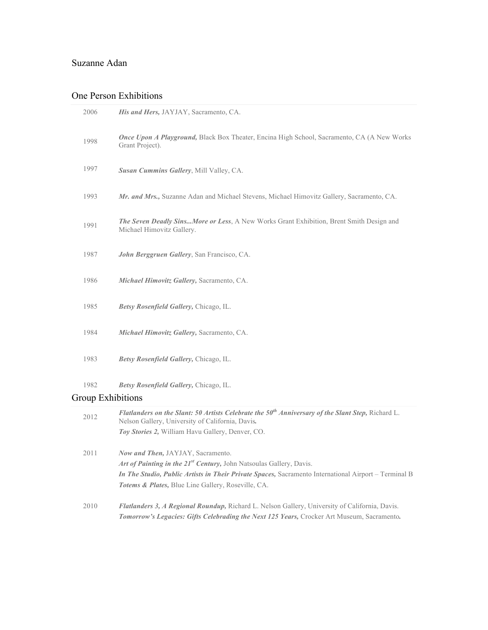## Suzanne Adan

## One Person Exhibitions

|                          | Flatlanders on the Slant: 50 Artists Celebrate the $50th$ Anniversary of the Slant Step, Richard L.                         |
|--------------------------|-----------------------------------------------------------------------------------------------------------------------------|
| <b>Group Exhibitions</b> |                                                                                                                             |
| 1982                     | Betsy Rosenfield Gallery, Chicago, IL.                                                                                      |
| 1983                     | Betsy Rosenfield Gallery, Chicago, IL.                                                                                      |
| 1984                     | Michael Himovitz Gallery, Sacramento, CA.                                                                                   |
| 1985                     | Betsy Rosenfield Gallery, Chicago, IL.                                                                                      |
| 1986                     | Michael Himovitz Gallery, Sacramento, CA.                                                                                   |
| 1987                     | John Berggruen Gallery, San Francisco, CA.                                                                                  |
| 1991                     | <b>The Seven Deadly SinsMore or Less, A New Works Grant Exhibition, Brent Smith Design and</b><br>Michael Himovitz Gallery. |
| 1993                     | Mr. and Mrs., Suzanne Adan and Michael Stevens, Michael Himovitz Gallery, Sacramento, CA.                                   |
| 1997                     | Susan Cummins Gallery, Mill Valley, CA.                                                                                     |
| 1998                     | Once Upon A Playground, Black Box Theater, Encina High School, Sacramento, CA (A New Works<br>Grant Project).               |
| 2006                     | His and Hers, JAYJAY, Sacramento, CA.                                                                                       |

| 2012 | Flatlanders on the Slant: 50 Artists Celebrate the $50th$ Anniversary of the Slant Step, Richard L.<br>Nelson Gallery, University of California, Davis. |
|------|---------------------------------------------------------------------------------------------------------------------------------------------------------|
|      | Toy Stories 2, William Havu Gallery, Denver, CO.                                                                                                        |
| 2011 | <b>Now and Then, JAYJAY, Sacramento.</b>                                                                                                                |
|      | Art of Painting in the 21 <sup>st</sup> Century, John Natsoulas Gallery, Davis.                                                                         |
|      | <i>In The Studio, Public Artists in Their Private Spaces, Sacramento International Airport – Terminal B</i>                                             |
|      | <b>Totems &amp; Plates, Blue Line Gallery, Roseville, CA.</b>                                                                                           |
| 2010 | <b>Flatlanders 3, A Regional Roundup, Richard L. Nelson Gallery, University of California, Davis.</b>                                                   |

*Tomorrow's Legacies: Gifts Celebrading the Next 125 Years,* Crocker Art Museum, Sacramento*.*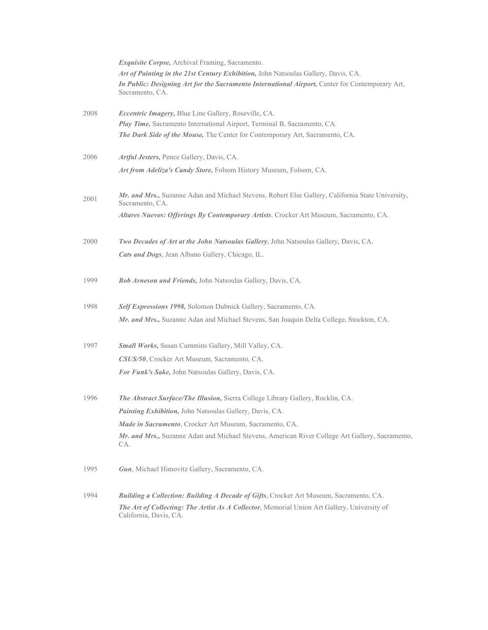|      | <i>Exquisite Corpse</i> , Archival Framing, Sacramento.                                                               |
|------|-----------------------------------------------------------------------------------------------------------------------|
|      | Art of Painting in the 21st Century Exhibition, John Natsoulas Gallery, Davis, CA.                                    |
|      | In Public: Designing Art for the Sacramento International Airport, Center for Contemporary Art,<br>Sacramento, CA.    |
| 2008 | <i>Eccentric Imagery</i> , Blue Line Gallery, Roseville, CA.                                                          |
|      | Play Time, Sacramento International Airport, Terminal B, Sacramento, CA.                                              |
|      | <b>The Dark Side of the Mouse, The Center for Contemporary Art, Sacramento, CA.</b>                                   |
| 2006 | Artful Jesters, Pence Gallery, Davis, CA.                                                                             |
|      | Art from Adeliza's Candy Store, Folsom History Museum, Folsom, CA.                                                    |
| 2001 | Mr. and Mrs., Suzanne Adan and Michael Stevens, Robert Else Gallery, California State University,<br>Sacramento, CA.  |
|      | Altares Nuevos: Offerings By Contemporary Artists, Crocker Art Museum, Sacramento, CA.                                |
| 2000 | Two Decades of Art at the John Natsoulas Gallery, John Natsoulas Gallery, Davis, CA.                                  |
|      | Cats and Dogs, Jean Albano Gallery, Chicago, IL.                                                                      |
| 1999 | <b>Bob Arneson and Friends, John Natsoulas Gallery, Davis, CA.</b>                                                    |
| 1998 | Self Expressions 1998, Solomon Dubnick Gallery, Sacramento, CA.                                                       |
|      | Mr. and Mrs., Suzanne Adan and Michael Stevens, San Joaquin Delta College, Stockton, CA.                              |
| 1997 | <b>Small Works, Susan Cummins Gallery, Mill Valley, CA.</b>                                                           |
|      | CSUS/50, Crocker Art Museum, Sacramento, CA.                                                                          |
|      | For Funk's Sake, John Natsoulas Gallery, Davis, CA.                                                                   |
| 1996 | <b>The Abstract Surface/The Illusion, Sierra College Library Gallery, Rocklin, CA.</b>                                |
|      | <b>Painting Exhibition, John Natsoulas Gallery, Davis, CA.</b>                                                        |
|      | Made in Sacramento, Crocker Art Museum, Sacramento, CA.                                                               |
|      | Mr. and Mrs., Suzanne Adan and Michael Stevens, American River College Art Gallery, Sacramento,<br>CA.                |
| 1995 | Gun, Michael Himovitz Gallery, Sacramento, CA.                                                                        |
| 1994 | Building a Collection: Building A Decade of Gifts, Crocker Art Museum, Sacramento, CA.                                |
|      | The Art of Collecting: The Artist As A Collector, Memorial Union Art Gallery, University of<br>California, Davis, CA. |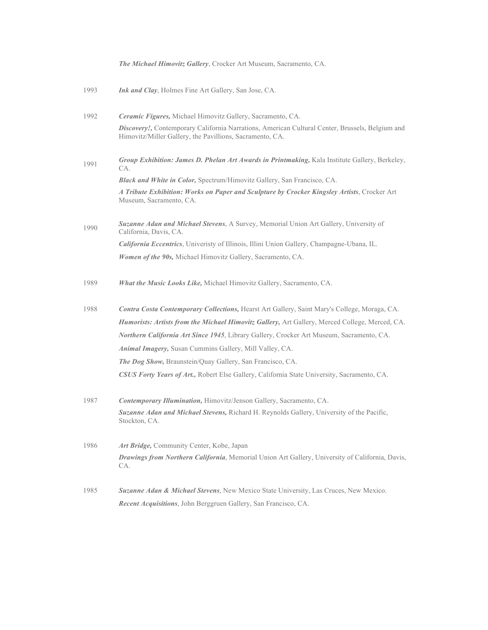|      | The Michael Himovitz Gallery, Crocker Art Museum, Sacramento, CA.                                                                                           |
|------|-------------------------------------------------------------------------------------------------------------------------------------------------------------|
| 1993 | <b>Ink and Clay</b> , Holmes Fine Art Gallery, San Jose, CA.                                                                                                |
| 1992 | Ceramic Figures, Michael Himovitz Gallery, Sacramento, CA.                                                                                                  |
|      | Discovery!, Contemporary California Narrations, American Cultural Center, Brussels, Belgium and<br>Himovitz/Miller Gallery, the Pavillions, Sacramento, CA. |
| 1991 | Group Exhibition: James D. Phelan Art Awards in Printmaking, Kala Institute Gallery, Berkeley,<br>CA.                                                       |
|      | <b>Black and White in Color, Spectrum/Himovitz Gallery, San Francisco, CA.</b>                                                                              |
|      | A Tribute Exhibition: Works on Paper and Sculpture by Crocker Kingsley Artists, Crocker Art<br>Museum, Sacramento, CA.                                      |
| 1990 | Suzanne Adan and Michael Stevens, A Survey, Memorial Union Art Gallery, University of<br>California, Davis, CA.                                             |
|      | California Eccentrics, Univeristy of Illinois, Illini Union Gallery, Champagne-Ubana, IL.                                                                   |
|      | Women of the 90s, Michael Himovitz Gallery, Sacramento, CA.                                                                                                 |
| 1989 | What the Music Looks Like, Michael Himovitz Gallery, Sacramento, CA.                                                                                        |
| 1988 | Contra Costa Contemporary Collections, Hearst Art Gallery, Saint Mary's College, Moraga, CA.                                                                |
|      | Humorists: Artists from the Michael Himovitz Gallery, Art Gallery, Merced College, Merced, CA.                                                              |
|      | Northern California Art Since 1945, Library Gallery, Crocker Art Museum, Sacramento, CA.                                                                    |
|      | <b>Animal Imagery, Susan Cummins Gallery, Mill Valley, CA.</b>                                                                                              |
|      | <b>The Dog Show, Braunstein/Quay Gallery, San Francisco, CA.</b>                                                                                            |
|      | <b>CSUS Forty Years of Art.</b> , Robert Else Gallery, California State University, Sacramento, CA.                                                         |
| 1987 | Contemporary Illumination, Himovitz/Jenson Gallery, Sacramento, CA.                                                                                         |
|      | Suzanne Adan and Michael Stevens, Richard H. Reynolds Gallery, University of the Pacific,<br>Stockton, CA.                                                  |
| 1986 | Art Bridge, Community Center, Kobe, Japan                                                                                                                   |
|      | Drawings from Northern California, Memorial Union Art Gallery, University of California, Davis,<br>CA.                                                      |
| 1985 | <b>Suzanne Adan &amp; Michael Stevens, New Mexico State University, Las Cruces, New Mexico.</b>                                                             |
|      | Recent Acquisitions, John Berggruen Gallery, San Francisco, CA.                                                                                             |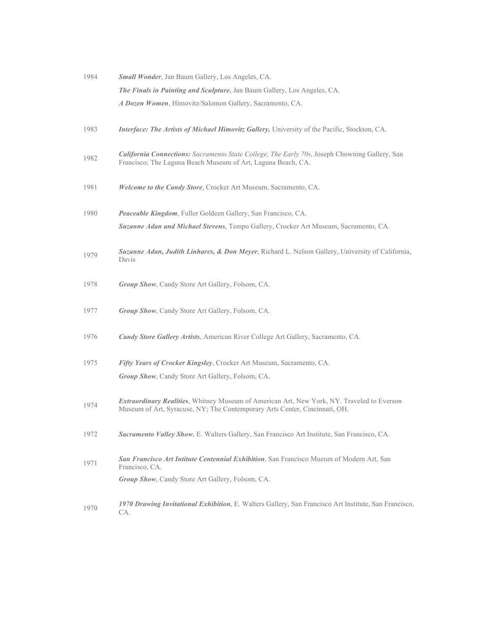| 1984 | Small Wonder, Jan Baum Gallery, Los Angeles, CA.                                                                                                              |
|------|---------------------------------------------------------------------------------------------------------------------------------------------------------------|
|      | <b>The Finals in Painting and Sculpture</b> , Jan Baum Gallery, Los Angeles, CA.                                                                              |
|      | A Dozen Women, Himovitz/Salomon Gallery, Sacramento, CA.                                                                                                      |
|      |                                                                                                                                                               |
| 1983 | Interface: The Artists of Michael Himovitz Gallery, University of the Pacific, Stockton, CA.                                                                  |
|      |                                                                                                                                                               |
| 1982 | California Connections: Sacramento State College, The Early 70s, Joseph Chowning Gallery, San<br>Francisco; The Laguna Beach Museum of Art, Laguna Beach, CA. |
|      |                                                                                                                                                               |
| 1981 | Welcome to the Candy Store, Crocker Art Museum, Sacramento, CA.                                                                                               |
|      |                                                                                                                                                               |
| 1980 | <b>Peaceable Kingdom, Fuller Goldeen Gallery, San Francisco, CA.</b>                                                                                          |
|      | Suzanne Adan and Michael Stevens, Tempo Gallery, Crocker Art Museum, Sacramento, CA.                                                                          |
|      | Suzanne Adan, Judith Linhares, & Don Meyer, Richard L. Nelson Gallery, University of California,                                                              |
| 1979 | Davis                                                                                                                                                         |
|      |                                                                                                                                                               |
| 1978 | Group Show, Candy Store Art Gallery, Folsom, CA.                                                                                                              |
| 1977 | Group Show, Candy Store Art Gallery, Folsom, CA.                                                                                                              |
|      |                                                                                                                                                               |
| 1976 | Candy Store Gallery Artists, American River College Art Gallery, Sacramento, CA.                                                                              |
|      |                                                                                                                                                               |
| 1975 | Fifty Years of Crocker Kingsley, Crocker Art Museum, Sacramento, CA.                                                                                          |
|      | Group Show, Candy Store Art Gallery, Folsom, CA.                                                                                                              |
|      | Extraordinary Realities, Whitney Museum of American Art, New York, NY. Traveled to Everson                                                                    |
| 1974 | Museum of Art, Syracuse, NY; The Contemporary Arts Center, Cincinnati, OH.                                                                                    |
| 1972 | Sacramento Valley Show, E. Walters Gallery, San Francisco Art Institute, San Francisco, CA.                                                                   |
|      |                                                                                                                                                               |
| 1971 | San Francisco Art Intitute Centennial Exhibition, San Francisco Mueum of Modern Art, San<br>Francisco, CA.                                                    |
|      | Group Show, Candy Store Art Gallery, Folsom, CA.                                                                                                              |
|      |                                                                                                                                                               |
| 1970 | 1970 Drawing Invitational Exhibition, E. Walters Gallery, San Francisco Art Institute, San Francisco,<br>CA.                                                  |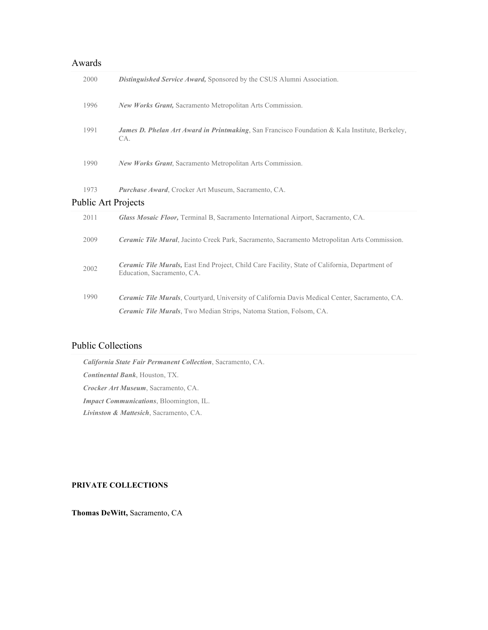| Awards                     |                                                                                                                              |  |  |
|----------------------------|------------------------------------------------------------------------------------------------------------------------------|--|--|
| 2000                       | Distinguished Service Award, Sponsored by the CSUS Alumni Association.                                                       |  |  |
| 1996                       | New Works Grant, Sacramento Metropolitan Arts Commission.                                                                    |  |  |
| 1991                       | James D. Phelan Art Award in Printmaking, San Francisco Foundation & Kala Institute, Berkeley,<br>CA.                        |  |  |
| 1990                       | <b>New Works Grant, Sacramento Metropolitan Arts Commission.</b>                                                             |  |  |
| 1973                       | <b>Purchase Award, Crocker Art Museum, Sacramento, CA.</b>                                                                   |  |  |
| <b>Public Art Projects</b> |                                                                                                                              |  |  |
| 2011                       | Glass Mosaic Floor, Terminal B, Sacramento International Airport, Sacramento, CA.                                            |  |  |
| 2009                       | Ceramic Tile Mural, Jacinto Creek Park, Sacramento, Sacramento Metropolitan Arts Commission.                                 |  |  |
| 2002                       | Ceramic Tile Murals, East End Project, Child Care Facility, State of California, Department of<br>Education, Sacramento, CA. |  |  |
| 1990                       | Ceramic Tile Murals, Courtyard, University of California Davis Medical Center, Sacramento, CA.                               |  |  |
|                            | <b>Ceramic Tile Murals</b> , Two Median Strips, Natoma Station, Folsom, CA.                                                  |  |  |

## Public Collections

*California State Fair Permanent Collection*, Sacramento, CA. *Continental Bank*, Houston, TX. *Crocker Art Museum*, Sacramento, CA. *Impact Communications*, Bloomington, IL. *Livinston & Mattesich*, Sacramento, CA.

## **PRIVATE COLLECTIONS**

**Thomas DeWitt,** Sacramento, CA